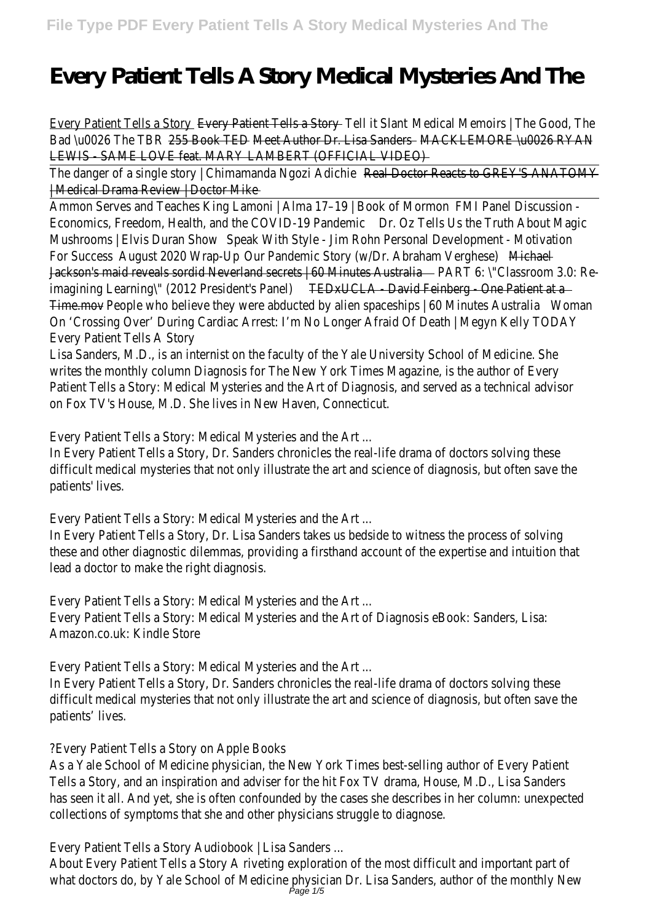# **Every Patient Tells A Story Medical Mysteries And The**

| 255 Book TED Meet Author Dr. Lisa Sanders MACKLEMORE \u0026 RYAN<br><b>Real Doctor Reacts to GREY'S ANATOMY</b><br><b>FMI Panel Discussion -</b><br>Dr. Oz Tells Us the Truth About Magic<br>Speak With Style - Jim Rohn Personal Development - Motivation<br>August 2020 Wrap-Up<br>Our Pandemic Story (w/Dr. Abraham Verghese)<br>Michael<br>Jackson's maid reveals sordid Neverland secrets   60 Minutes Australia Machines Machines Machines PART 6: \"Classroom 3.0: Re-<br><b>TEDxUCLA</b> David Feinberg One Patient at a<br>Time.mov - People who believe they were abducted by alien spaceships   60 Minutes Australia<br>Woman<br>On 'Crossing Over' During Cardiac Arrest: I'm No Longer Afraid Of Death   Megyn Kelly TODAY<br>Lisa Sanders, M.D., is an internist on the faculty of the Yale University School of Medicine. She<br>writes the monthly column Diagnosis for The New York Times Magazine, is the author of Every<br>Patient Tells a Story: Medical Mysteries and the Art of Diagnosis, and served as a technical advisor<br>In Every Patient Tells a Story, Dr. Sanders chronicles the real-life drama of doctors solving these<br>difficult medical mysteries that not only illustrate the art and science of diagnosis, but often save the<br>Every Patient Tells a Story: Medical Mysteries and the Art<br>In Every Patient Tells a Story, Dr. Lisa Sanders takes us bedside to witness the process of solving<br>these and other diagnostic dilemmas, providing a firsthand account of the expertise and intuition that<br>lead a doctor to make the right diagnosis.<br>Every Patient Tells a Story: Medical Mysteries and the Art<br>Every Patient Tells a Story: Medical Mysteries and the Art of Diagnosis eBook: Sanders, Lisa:<br>Amazon.co.uk: Kindle Store<br>Every Patient Tells a Story: Medical Mysteries and the Art<br>In Every Patient Tells a Story, Dr. Sanders chronicles the real-life drama of doctors solving these<br>difficult medical mysteries that not only illustrate the art and science of diagnosis, but often save the<br>patients' lives.<br>?Every Patient Tells a Story on Apple Books<br>As a Yale School of Medicine physician, the New York Times best-selling author of Every Patient<br>Tells a Story, and an inspiration and adviser for the hit Fox TV drama, House, M.D., Lisa Sanders<br>has seen it all. And yet, she is often confounded by the cases she describes in her column: unexpected<br>collections of symptoms that she and other physicians struggle to diagnose. | Every Patient Tells a Story <b>Every Patient Tells a Story</b> Tell it Slant Medical Memoirs   The Good, The |  |
|---------------------------------------------------------------------------------------------------------------------------------------------------------------------------------------------------------------------------------------------------------------------------------------------------------------------------------------------------------------------------------------------------------------------------------------------------------------------------------------------------------------------------------------------------------------------------------------------------------------------------------------------------------------------------------------------------------------------------------------------------------------------------------------------------------------------------------------------------------------------------------------------------------------------------------------------------------------------------------------------------------------------------------------------------------------------------------------------------------------------------------------------------------------------------------------------------------------------------------------------------------------------------------------------------------------------------------------------------------------------------------------------------------------------------------------------------------------------------------------------------------------------------------------------------------------------------------------------------------------------------------------------------------------------------------------------------------------------------------------------------------------------------------------------------------------------------------------------------------------------------------------------------------------------------------------------------------------------------------------------------------------------------------------------------------------------------------------------------------------------------------------------------------------------------------------------------------------------------------------------------------------------------------------------------------------------------------------------------------------------------------------------------------------------------------------------------------------------------------------------------------------------------------------------------------|--------------------------------------------------------------------------------------------------------------|--|
|                                                                                                                                                                                                                                                                                                                                                                                                                                                                                                                                                                                                                                                                                                                                                                                                                                                                                                                                                                                                                                                                                                                                                                                                                                                                                                                                                                                                                                                                                                                                                                                                                                                                                                                                                                                                                                                                                                                                                                                                                                                                                                                                                                                                                                                                                                                                                                                                                                                                                                                                                         | Bad \u0026 The TBR                                                                                           |  |
|                                                                                                                                                                                                                                                                                                                                                                                                                                                                                                                                                                                                                                                                                                                                                                                                                                                                                                                                                                                                                                                                                                                                                                                                                                                                                                                                                                                                                                                                                                                                                                                                                                                                                                                                                                                                                                                                                                                                                                                                                                                                                                                                                                                                                                                                                                                                                                                                                                                                                                                                                         | LEWIS SAME LOVE feat. MARY LAMBERT (OFFICIAL VIDEO)                                                          |  |
|                                                                                                                                                                                                                                                                                                                                                                                                                                                                                                                                                                                                                                                                                                                                                                                                                                                                                                                                                                                                                                                                                                                                                                                                                                                                                                                                                                                                                                                                                                                                                                                                                                                                                                                                                                                                                                                                                                                                                                                                                                                                                                                                                                                                                                                                                                                                                                                                                                                                                                                                                         | The danger of a single story   Chimamanda Ngozi Adichie                                                      |  |
|                                                                                                                                                                                                                                                                                                                                                                                                                                                                                                                                                                                                                                                                                                                                                                                                                                                                                                                                                                                                                                                                                                                                                                                                                                                                                                                                                                                                                                                                                                                                                                                                                                                                                                                                                                                                                                                                                                                                                                                                                                                                                                                                                                                                                                                                                                                                                                                                                                                                                                                                                         | Medical Drama Review   Doctor Mike                                                                           |  |
|                                                                                                                                                                                                                                                                                                                                                                                                                                                                                                                                                                                                                                                                                                                                                                                                                                                                                                                                                                                                                                                                                                                                                                                                                                                                                                                                                                                                                                                                                                                                                                                                                                                                                                                                                                                                                                                                                                                                                                                                                                                                                                                                                                                                                                                                                                                                                                                                                                                                                                                                                         | Ammon Serves and Teaches King Lamoni   Alma 17-19   Book of Mormon                                           |  |
|                                                                                                                                                                                                                                                                                                                                                                                                                                                                                                                                                                                                                                                                                                                                                                                                                                                                                                                                                                                                                                                                                                                                                                                                                                                                                                                                                                                                                                                                                                                                                                                                                                                                                                                                                                                                                                                                                                                                                                                                                                                                                                                                                                                                                                                                                                                                                                                                                                                                                                                                                         | Economics, Freedom, Health, and the COVID-19 Pandemic                                                        |  |
|                                                                                                                                                                                                                                                                                                                                                                                                                                                                                                                                                                                                                                                                                                                                                                                                                                                                                                                                                                                                                                                                                                                                                                                                                                                                                                                                                                                                                                                                                                                                                                                                                                                                                                                                                                                                                                                                                                                                                                                                                                                                                                                                                                                                                                                                                                                                                                                                                                                                                                                                                         | Mushrooms   Elvis Duran Show                                                                                 |  |
|                                                                                                                                                                                                                                                                                                                                                                                                                                                                                                                                                                                                                                                                                                                                                                                                                                                                                                                                                                                                                                                                                                                                                                                                                                                                                                                                                                                                                                                                                                                                                                                                                                                                                                                                                                                                                                                                                                                                                                                                                                                                                                                                                                                                                                                                                                                                                                                                                                                                                                                                                         | <b>For Success</b>                                                                                           |  |
|                                                                                                                                                                                                                                                                                                                                                                                                                                                                                                                                                                                                                                                                                                                                                                                                                                                                                                                                                                                                                                                                                                                                                                                                                                                                                                                                                                                                                                                                                                                                                                                                                                                                                                                                                                                                                                                                                                                                                                                                                                                                                                                                                                                                                                                                                                                                                                                                                                                                                                                                                         |                                                                                                              |  |
|                                                                                                                                                                                                                                                                                                                                                                                                                                                                                                                                                                                                                                                                                                                                                                                                                                                                                                                                                                                                                                                                                                                                                                                                                                                                                                                                                                                                                                                                                                                                                                                                                                                                                                                                                                                                                                                                                                                                                                                                                                                                                                                                                                                                                                                                                                                                                                                                                                                                                                                                                         | imagining Learning\" (2012 President's Panel)                                                                |  |
|                                                                                                                                                                                                                                                                                                                                                                                                                                                                                                                                                                                                                                                                                                                                                                                                                                                                                                                                                                                                                                                                                                                                                                                                                                                                                                                                                                                                                                                                                                                                                                                                                                                                                                                                                                                                                                                                                                                                                                                                                                                                                                                                                                                                                                                                                                                                                                                                                                                                                                                                                         |                                                                                                              |  |
|                                                                                                                                                                                                                                                                                                                                                                                                                                                                                                                                                                                                                                                                                                                                                                                                                                                                                                                                                                                                                                                                                                                                                                                                                                                                                                                                                                                                                                                                                                                                                                                                                                                                                                                                                                                                                                                                                                                                                                                                                                                                                                                                                                                                                                                                                                                                                                                                                                                                                                                                                         |                                                                                                              |  |
|                                                                                                                                                                                                                                                                                                                                                                                                                                                                                                                                                                                                                                                                                                                                                                                                                                                                                                                                                                                                                                                                                                                                                                                                                                                                                                                                                                                                                                                                                                                                                                                                                                                                                                                                                                                                                                                                                                                                                                                                                                                                                                                                                                                                                                                                                                                                                                                                                                                                                                                                                         | <b>Every Patient Tells A Story</b>                                                                           |  |
|                                                                                                                                                                                                                                                                                                                                                                                                                                                                                                                                                                                                                                                                                                                                                                                                                                                                                                                                                                                                                                                                                                                                                                                                                                                                                                                                                                                                                                                                                                                                                                                                                                                                                                                                                                                                                                                                                                                                                                                                                                                                                                                                                                                                                                                                                                                                                                                                                                                                                                                                                         |                                                                                                              |  |
|                                                                                                                                                                                                                                                                                                                                                                                                                                                                                                                                                                                                                                                                                                                                                                                                                                                                                                                                                                                                                                                                                                                                                                                                                                                                                                                                                                                                                                                                                                                                                                                                                                                                                                                                                                                                                                                                                                                                                                                                                                                                                                                                                                                                                                                                                                                                                                                                                                                                                                                                                         |                                                                                                              |  |
|                                                                                                                                                                                                                                                                                                                                                                                                                                                                                                                                                                                                                                                                                                                                                                                                                                                                                                                                                                                                                                                                                                                                                                                                                                                                                                                                                                                                                                                                                                                                                                                                                                                                                                                                                                                                                                                                                                                                                                                                                                                                                                                                                                                                                                                                                                                                                                                                                                                                                                                                                         |                                                                                                              |  |
|                                                                                                                                                                                                                                                                                                                                                                                                                                                                                                                                                                                                                                                                                                                                                                                                                                                                                                                                                                                                                                                                                                                                                                                                                                                                                                                                                                                                                                                                                                                                                                                                                                                                                                                                                                                                                                                                                                                                                                                                                                                                                                                                                                                                                                                                                                                                                                                                                                                                                                                                                         | on Fox TV's House, M.D. She lives in New Haven, Connecticut.                                                 |  |
|                                                                                                                                                                                                                                                                                                                                                                                                                                                                                                                                                                                                                                                                                                                                                                                                                                                                                                                                                                                                                                                                                                                                                                                                                                                                                                                                                                                                                                                                                                                                                                                                                                                                                                                                                                                                                                                                                                                                                                                                                                                                                                                                                                                                                                                                                                                                                                                                                                                                                                                                                         |                                                                                                              |  |
|                                                                                                                                                                                                                                                                                                                                                                                                                                                                                                                                                                                                                                                                                                                                                                                                                                                                                                                                                                                                                                                                                                                                                                                                                                                                                                                                                                                                                                                                                                                                                                                                                                                                                                                                                                                                                                                                                                                                                                                                                                                                                                                                                                                                                                                                                                                                                                                                                                                                                                                                                         | Every Patient Tells a Story: Medical Mysteries and the Art                                                   |  |
|                                                                                                                                                                                                                                                                                                                                                                                                                                                                                                                                                                                                                                                                                                                                                                                                                                                                                                                                                                                                                                                                                                                                                                                                                                                                                                                                                                                                                                                                                                                                                                                                                                                                                                                                                                                                                                                                                                                                                                                                                                                                                                                                                                                                                                                                                                                                                                                                                                                                                                                                                         |                                                                                                              |  |
|                                                                                                                                                                                                                                                                                                                                                                                                                                                                                                                                                                                                                                                                                                                                                                                                                                                                                                                                                                                                                                                                                                                                                                                                                                                                                                                                                                                                                                                                                                                                                                                                                                                                                                                                                                                                                                                                                                                                                                                                                                                                                                                                                                                                                                                                                                                                                                                                                                                                                                                                                         |                                                                                                              |  |
|                                                                                                                                                                                                                                                                                                                                                                                                                                                                                                                                                                                                                                                                                                                                                                                                                                                                                                                                                                                                                                                                                                                                                                                                                                                                                                                                                                                                                                                                                                                                                                                                                                                                                                                                                                                                                                                                                                                                                                                                                                                                                                                                                                                                                                                                                                                                                                                                                                                                                                                                                         | patients' lives.                                                                                             |  |
|                                                                                                                                                                                                                                                                                                                                                                                                                                                                                                                                                                                                                                                                                                                                                                                                                                                                                                                                                                                                                                                                                                                                                                                                                                                                                                                                                                                                                                                                                                                                                                                                                                                                                                                                                                                                                                                                                                                                                                                                                                                                                                                                                                                                                                                                                                                                                                                                                                                                                                                                                         |                                                                                                              |  |
|                                                                                                                                                                                                                                                                                                                                                                                                                                                                                                                                                                                                                                                                                                                                                                                                                                                                                                                                                                                                                                                                                                                                                                                                                                                                                                                                                                                                                                                                                                                                                                                                                                                                                                                                                                                                                                                                                                                                                                                                                                                                                                                                                                                                                                                                                                                                                                                                                                                                                                                                                         |                                                                                                              |  |
|                                                                                                                                                                                                                                                                                                                                                                                                                                                                                                                                                                                                                                                                                                                                                                                                                                                                                                                                                                                                                                                                                                                                                                                                                                                                                                                                                                                                                                                                                                                                                                                                                                                                                                                                                                                                                                                                                                                                                                                                                                                                                                                                                                                                                                                                                                                                                                                                                                                                                                                                                         |                                                                                                              |  |
|                                                                                                                                                                                                                                                                                                                                                                                                                                                                                                                                                                                                                                                                                                                                                                                                                                                                                                                                                                                                                                                                                                                                                                                                                                                                                                                                                                                                                                                                                                                                                                                                                                                                                                                                                                                                                                                                                                                                                                                                                                                                                                                                                                                                                                                                                                                                                                                                                                                                                                                                                         |                                                                                                              |  |
|                                                                                                                                                                                                                                                                                                                                                                                                                                                                                                                                                                                                                                                                                                                                                                                                                                                                                                                                                                                                                                                                                                                                                                                                                                                                                                                                                                                                                                                                                                                                                                                                                                                                                                                                                                                                                                                                                                                                                                                                                                                                                                                                                                                                                                                                                                                                                                                                                                                                                                                                                         |                                                                                                              |  |
|                                                                                                                                                                                                                                                                                                                                                                                                                                                                                                                                                                                                                                                                                                                                                                                                                                                                                                                                                                                                                                                                                                                                                                                                                                                                                                                                                                                                                                                                                                                                                                                                                                                                                                                                                                                                                                                                                                                                                                                                                                                                                                                                                                                                                                                                                                                                                                                                                                                                                                                                                         |                                                                                                              |  |
|                                                                                                                                                                                                                                                                                                                                                                                                                                                                                                                                                                                                                                                                                                                                                                                                                                                                                                                                                                                                                                                                                                                                                                                                                                                                                                                                                                                                                                                                                                                                                                                                                                                                                                                                                                                                                                                                                                                                                                                                                                                                                                                                                                                                                                                                                                                                                                                                                                                                                                                                                         |                                                                                                              |  |
|                                                                                                                                                                                                                                                                                                                                                                                                                                                                                                                                                                                                                                                                                                                                                                                                                                                                                                                                                                                                                                                                                                                                                                                                                                                                                                                                                                                                                                                                                                                                                                                                                                                                                                                                                                                                                                                                                                                                                                                                                                                                                                                                                                                                                                                                                                                                                                                                                                                                                                                                                         |                                                                                                              |  |
|                                                                                                                                                                                                                                                                                                                                                                                                                                                                                                                                                                                                                                                                                                                                                                                                                                                                                                                                                                                                                                                                                                                                                                                                                                                                                                                                                                                                                                                                                                                                                                                                                                                                                                                                                                                                                                                                                                                                                                                                                                                                                                                                                                                                                                                                                                                                                                                                                                                                                                                                                         |                                                                                                              |  |
|                                                                                                                                                                                                                                                                                                                                                                                                                                                                                                                                                                                                                                                                                                                                                                                                                                                                                                                                                                                                                                                                                                                                                                                                                                                                                                                                                                                                                                                                                                                                                                                                                                                                                                                                                                                                                                                                                                                                                                                                                                                                                                                                                                                                                                                                                                                                                                                                                                                                                                                                                         |                                                                                                              |  |
|                                                                                                                                                                                                                                                                                                                                                                                                                                                                                                                                                                                                                                                                                                                                                                                                                                                                                                                                                                                                                                                                                                                                                                                                                                                                                                                                                                                                                                                                                                                                                                                                                                                                                                                                                                                                                                                                                                                                                                                                                                                                                                                                                                                                                                                                                                                                                                                                                                                                                                                                                         |                                                                                                              |  |
|                                                                                                                                                                                                                                                                                                                                                                                                                                                                                                                                                                                                                                                                                                                                                                                                                                                                                                                                                                                                                                                                                                                                                                                                                                                                                                                                                                                                                                                                                                                                                                                                                                                                                                                                                                                                                                                                                                                                                                                                                                                                                                                                                                                                                                                                                                                                                                                                                                                                                                                                                         |                                                                                                              |  |
|                                                                                                                                                                                                                                                                                                                                                                                                                                                                                                                                                                                                                                                                                                                                                                                                                                                                                                                                                                                                                                                                                                                                                                                                                                                                                                                                                                                                                                                                                                                                                                                                                                                                                                                                                                                                                                                                                                                                                                                                                                                                                                                                                                                                                                                                                                                                                                                                                                                                                                                                                         |                                                                                                              |  |
|                                                                                                                                                                                                                                                                                                                                                                                                                                                                                                                                                                                                                                                                                                                                                                                                                                                                                                                                                                                                                                                                                                                                                                                                                                                                                                                                                                                                                                                                                                                                                                                                                                                                                                                                                                                                                                                                                                                                                                                                                                                                                                                                                                                                                                                                                                                                                                                                                                                                                                                                                         |                                                                                                              |  |
|                                                                                                                                                                                                                                                                                                                                                                                                                                                                                                                                                                                                                                                                                                                                                                                                                                                                                                                                                                                                                                                                                                                                                                                                                                                                                                                                                                                                                                                                                                                                                                                                                                                                                                                                                                                                                                                                                                                                                                                                                                                                                                                                                                                                                                                                                                                                                                                                                                                                                                                                                         |                                                                                                              |  |
|                                                                                                                                                                                                                                                                                                                                                                                                                                                                                                                                                                                                                                                                                                                                                                                                                                                                                                                                                                                                                                                                                                                                                                                                                                                                                                                                                                                                                                                                                                                                                                                                                                                                                                                                                                                                                                                                                                                                                                                                                                                                                                                                                                                                                                                                                                                                                                                                                                                                                                                                                         |                                                                                                              |  |
|                                                                                                                                                                                                                                                                                                                                                                                                                                                                                                                                                                                                                                                                                                                                                                                                                                                                                                                                                                                                                                                                                                                                                                                                                                                                                                                                                                                                                                                                                                                                                                                                                                                                                                                                                                                                                                                                                                                                                                                                                                                                                                                                                                                                                                                                                                                                                                                                                                                                                                                                                         |                                                                                                              |  |
|                                                                                                                                                                                                                                                                                                                                                                                                                                                                                                                                                                                                                                                                                                                                                                                                                                                                                                                                                                                                                                                                                                                                                                                                                                                                                                                                                                                                                                                                                                                                                                                                                                                                                                                                                                                                                                                                                                                                                                                                                                                                                                                                                                                                                                                                                                                                                                                                                                                                                                                                                         |                                                                                                              |  |
|                                                                                                                                                                                                                                                                                                                                                                                                                                                                                                                                                                                                                                                                                                                                                                                                                                                                                                                                                                                                                                                                                                                                                                                                                                                                                                                                                                                                                                                                                                                                                                                                                                                                                                                                                                                                                                                                                                                                                                                                                                                                                                                                                                                                                                                                                                                                                                                                                                                                                                                                                         |                                                                                                              |  |
|                                                                                                                                                                                                                                                                                                                                                                                                                                                                                                                                                                                                                                                                                                                                                                                                                                                                                                                                                                                                                                                                                                                                                                                                                                                                                                                                                                                                                                                                                                                                                                                                                                                                                                                                                                                                                                                                                                                                                                                                                                                                                                                                                                                                                                                                                                                                                                                                                                                                                                                                                         |                                                                                                              |  |
|                                                                                                                                                                                                                                                                                                                                                                                                                                                                                                                                                                                                                                                                                                                                                                                                                                                                                                                                                                                                                                                                                                                                                                                                                                                                                                                                                                                                                                                                                                                                                                                                                                                                                                                                                                                                                                                                                                                                                                                                                                                                                                                                                                                                                                                                                                                                                                                                                                                                                                                                                         | Every Patient Tells a Story Audiobook   Lisa Sanders                                                         |  |
| About Every Patient Tells a Story A riveting exploration of the most difficult and important part of                                                                                                                                                                                                                                                                                                                                                                                                                                                                                                                                                                                                                                                                                                                                                                                                                                                                                                                                                                                                                                                                                                                                                                                                                                                                                                                                                                                                                                                                                                                                                                                                                                                                                                                                                                                                                                                                                                                                                                                                                                                                                                                                                                                                                                                                                                                                                                                                                                                    |                                                                                                              |  |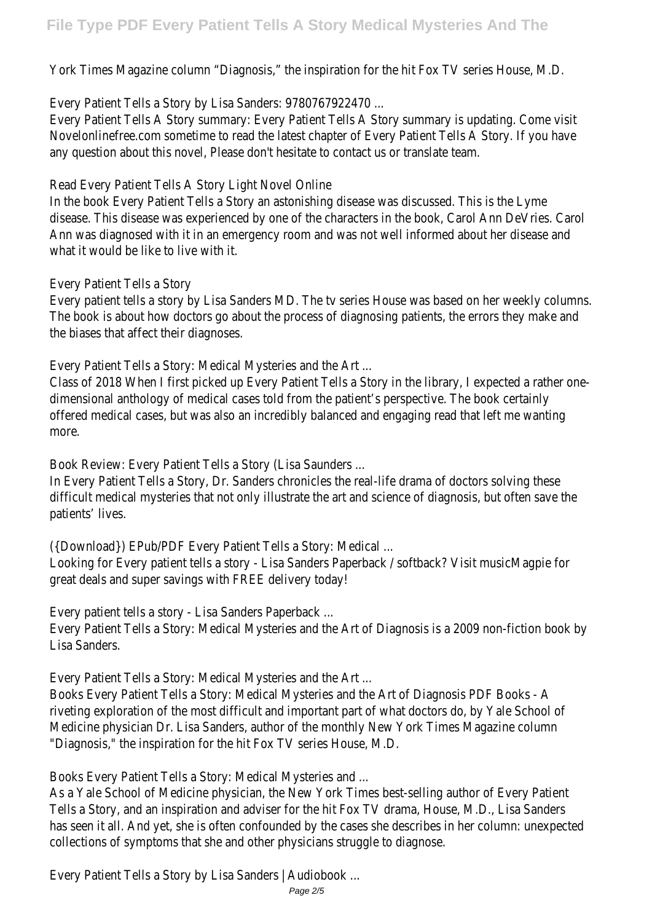York Times Magazine column "Diagnosis," the inspiration for the hit Fox TV series House, M.D.

Every Patient Tells a Story by Lisa Sanders: 9780767922470 ...

Every Patient Tells A Story summary: Every Patient Tells A Story summary is updating. Come visit Novelonlinefree.com sometime to read the latest chapter of Every Patient Tells A Story. If you have any question about this novel, Please don't hesitate to contact us or translate team.

Read Every Patient Tells A Story Light Novel Online

In the book Every Patient Tells a Story an astonishing disease was discussed. This is the Lyme disease. This disease was experienced by one of the characters in the book, Carol Ann DeVries. Carol Ann was diagnosed with it in an emergency room and was not well informed about her disease and what it would be like to live with it.

Every Patient Tells a Story

Every patient tells a story by Lisa Sanders MD. The tv series House was based on her weekly columns. The book is about how doctors go about the process of diagnosing patients, the errors they make and the biases that affect their diagnoses.

Every Patient Tells a Story: Medical Mysteries and the Art ...

Class of 2018 When I first picked up Every Patient Tells a Story in the library, I expected a rather onedimensional anthology of medical cases told from the patient's perspective. The book certainly offered medical cases, but was also an incredibly balanced and engaging read that left me wanting more.

Book Review: Every Patient Tells a Story (Lisa Saunders ...

In Every Patient Tells a Story, Dr. Sanders chronicles the real-life drama of doctors solving these difficult medical mysteries that not only illustrate the art and science of diagnosis, but often save the patients' lives.

({Download}) EPub/PDF Every Patient Tells a Story: Medical ...

Looking for Every patient tells a story - Lisa Sanders Paperback / softback? Visit musicMagpie for great deals and super savings with FREE delivery today!

Every patient tells a story - Lisa Sanders Paperback ...

Every Patient Tells a Story: Medical Mysteries and the Art of Diagnosis is a 2009 non-fiction book by Lisa Sanders.

Every Patient Tells a Story: Medical Mysteries and the Art ...

Books Every Patient Tells a Story: Medical Mysteries and the Art of Diagnosis PDF Books - A riveting exploration of the most difficult and important part of what doctors do, by Yale School of Medicine physician Dr. Lisa Sanders, author of the monthly New York Times Magazine column "Diagnosis," the inspiration for the hit Fox TV series House, M.D.

Books Every Patient Tells a Story: Medical Mysteries and ...

As a Yale School of Medicine physician, the New York Times best-selling author of Every Patient Tells a Story, and an inspiration and adviser for the hit Fox TV drama, House, M.D., Lisa Sanders has seen it all. And yet, she is often confounded by the cases she describes in her column: unexpected collections of symptoms that she and other physicians struggle to diagnose.

Every Patient Tells a Story by Lisa Sanders | Audiobook ...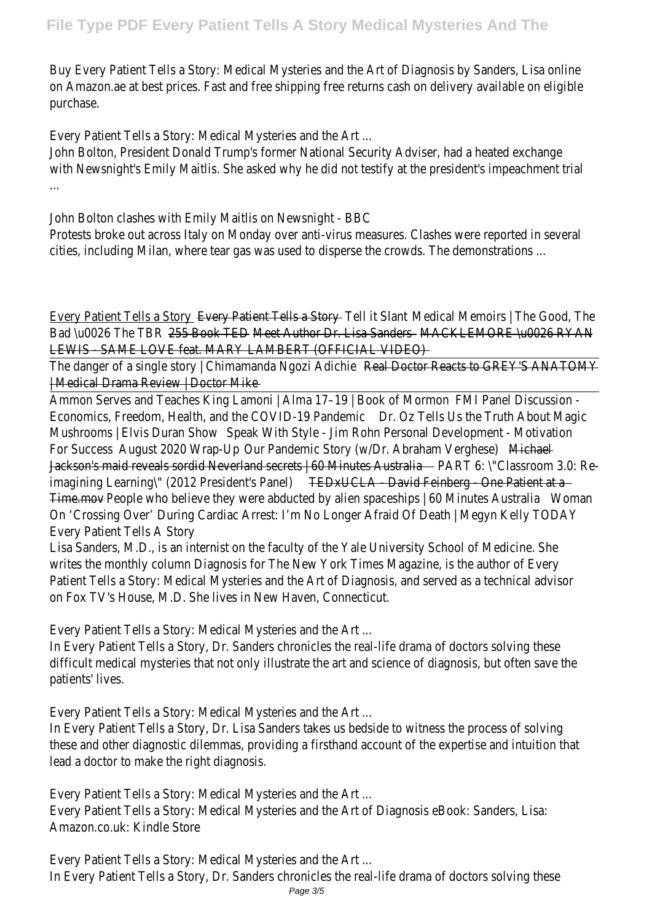Buy Every Patient Tells a Story: Medical Mysteries and the Art of Diagnosis by Sanders, Lisa online on Amazon.ae at best prices. Fast and free shipping free returns cash on delivery available on eligible purchase.

Every Patient Tells a Story: Medical Mysteries and the Art ...

John Bolton, President Donald Trump's former National Security Adviser, had a heated exchange with Newsnight's Emily Maitlis. She asked why he did not testify at the president's impeachment trial ...

John Bolton clashes with Emily Maitlis on Newsnight - BBC

Protests broke out across Italy on Monday over anti-virus measures. Clashes were reported in several cities, including Milan, where tear gas was used to disperse the crowds. The demonstrations ...

| Medical Memoirs   The Good, The<br>Every Patient Tells a Story <b>Every Patient Tells a Story</b> Tell it Slant                                 |       |  |  |  |
|-------------------------------------------------------------------------------------------------------------------------------------------------|-------|--|--|--|
| 255 Book TED Meet Author Dr. Lisa Sanders MACKLEMORE \u0026 RYAN<br>Bad \u0026 The TBR                                                          |       |  |  |  |
| LEWIS SAME LOVE feat. MARY LAMBERT (OFFICIAL VIDEO)                                                                                             |       |  |  |  |
| The danger of a single story   Chimamanda Ngozi Adichie<br><b>Real Doctor Reacts to GREY'S ANATOMY</b>                                          |       |  |  |  |
| Medical Drama Review   Doctor Mike                                                                                                              |       |  |  |  |
| Ammon Serves and Teaches King Lamoni   Alma 17-19   Book of Mormon<br><b>FMI Panel Discussion -</b>                                             |       |  |  |  |
| Economics, Freedom, Health, and the COVID-19 Pandemic<br>Dr. Oz Tells Us the Truth About Magic                                                  |       |  |  |  |
| Mushrooms   Elvis Duran Show<br>Speak With Style - Jim Rohn Personal Development - Motivation                                                   |       |  |  |  |
| August 2020 Wrap-Up<br>Our Pandemic Story (w/Dr. Abraham Verghese)<br><b>For Success</b><br>Michael                                             |       |  |  |  |
| Jackson's maid reveals sordid Neverland secrets   60 Minutes Australia   Jackson's maid reveals sordid Neverland Secrets   60 Minutes Australia |       |  |  |  |
| TEDxUCLA David Feinberg One Patient at a<br>imagining Learning\" (2012 President's Panel)                                                       |       |  |  |  |
| Time.mov - People who believe they were abducted by alien spaceships   60 Minutes Australia                                                     | Woman |  |  |  |
| On 'Crossing Over' During Cardiac Arrest: I'm No Longer Afraid Of Death   Megyn Kelly TODAY                                                     |       |  |  |  |
| <b>Every Patient Tells A Story</b>                                                                                                              |       |  |  |  |
| Lisa Sanders, M.D., is an internist on the faculty of the Yale University School of Medicine. She                                               |       |  |  |  |
| writes the monthly column Diagnosis for The New York Times Magazine, is the author of Every                                                     |       |  |  |  |
| Patient Tells a Story: Medical Mysteries and the Art of Diagnosis, and served as a technical advisor                                            |       |  |  |  |
| on Fox TV's House, M.D. She lives in New Haven, Connecticut.                                                                                    |       |  |  |  |
|                                                                                                                                                 |       |  |  |  |
| Every Patient Tells a Story: Medical Mysteries and the Art                                                                                      |       |  |  |  |
| In Every Patient Tells a Story, Dr. Sanders chronicles the real-life drama of doctors solving these                                             |       |  |  |  |
| difficult medical mysteries that not only illustrate the art and science of diagnosis, but often save the                                       |       |  |  |  |
| patients' lives.                                                                                                                                |       |  |  |  |
|                                                                                                                                                 |       |  |  |  |
| Every Patient Tells a Story: Medical Mysteries and the Art                                                                                      |       |  |  |  |
| In Every Patient Tells a Story, Dr. Lisa Sanders takes us bedside to witness the process of solving                                             |       |  |  |  |
| these and other diagnostic dilemmas, providing a firsthand account of the expertise and intuition that                                          |       |  |  |  |
| lead a doctor to make the right diagnosis.                                                                                                      |       |  |  |  |
|                                                                                                                                                 |       |  |  |  |
| Every Patient Tells a Story: Medical Mysteries and the Art                                                                                      |       |  |  |  |
| Every Patient Tells a Story: Medical Mysteries and the Art of Diagnosis eBook: Sanders, Lisa:                                                   |       |  |  |  |
| Amazon.co.uk: Kindle Store                                                                                                                      |       |  |  |  |
|                                                                                                                                                 |       |  |  |  |
| Every Patient Tells a Story: Medical Mysteries and the Art                                                                                      |       |  |  |  |
| In Every Patient Tells a Story, Dr. Sanders chronicles the real-life drama of doctors solving these                                             |       |  |  |  |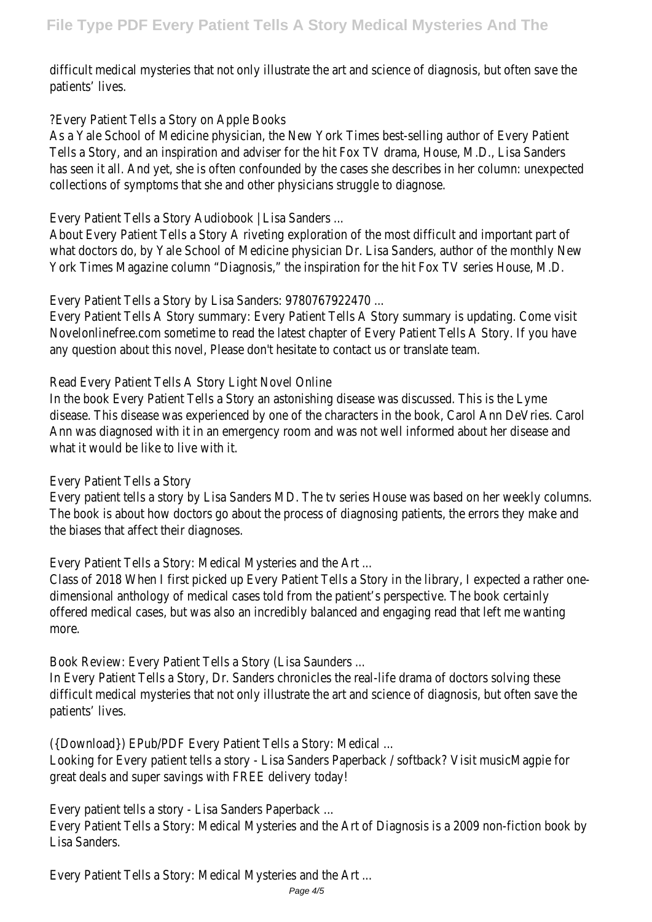difficult medical mysteries that not only illustrate the art and science of diagnosis, but often save the patients' lives.

## ?Every Patient Tells a Story on Apple Books

As a Yale School of Medicine physician, the New York Times best-selling author of Every Patient Tells a Story, and an inspiration and adviser for the hit Fox TV drama, House, M.D., Lisa Sanders has seen it all. And yet, she is often confounded by the cases she describes in her column: unexpected collections of symptoms that she and other physicians struggle to diagnose.

Every Patient Tells a Story Audiobook | Lisa Sanders ...

About Every Patient Tells a Story A riveting exploration of the most difficult and important part of what doctors do, by Yale School of Medicine physician Dr. Lisa Sanders, author of the monthly New York Times Magazine column "Diagnosis," the inspiration for the hit Fox TV series House, M.D.

### Every Patient Tells a Story by Lisa Sanders: 9780767922470 ...

Every Patient Tells A Story summary: Every Patient Tells A Story summary is updating. Come visit Novelonlinefree.com sometime to read the latest chapter of Every Patient Tells A Story. If you have any question about this novel, Please don't hesitate to contact us or translate team.

### Read Every Patient Tells A Story Light Novel Online

In the book Every Patient Tells a Story an astonishing disease was discussed. This is the Lyme disease. This disease was experienced by one of the characters in the book, Carol Ann DeVries. Carol Ann was diagnosed with it in an emergency room and was not well informed about her disease and what it would be like to live with it.

#### Every Patient Tells a Story

Every patient tells a story by Lisa Sanders MD. The tv series House was based on her weekly columns. The book is about how doctors go about the process of diagnosing patients, the errors they make and the biases that affect their diagnoses.

Every Patient Tells a Story: Medical Mysteries and the Art ...

Class of 2018 When I first picked up Every Patient Tells a Story in the library, I expected a rather onedimensional anthology of medical cases told from the patient's perspective. The book certainly offered medical cases, but was also an incredibly balanced and engaging read that left me wanting more.

Book Review: Every Patient Tells a Story (Lisa Saunders ...

In Every Patient Tells a Story, Dr. Sanders chronicles the real-life drama of doctors solving these difficult medical mysteries that not only illustrate the art and science of diagnosis, but often save the patients' lives.

({Download}) EPub/PDF Every Patient Tells a Story: Medical ...

Looking for Every patient tells a story - Lisa Sanders Paperback / softback? Visit musicMagpie for great deals and super savings with FREE delivery today!

Every patient tells a story - Lisa Sanders Paperback ...

Every Patient Tells a Story: Medical Mysteries and the Art of Diagnosis is a 2009 non-fiction book by Lisa Sanders.

Every Patient Tells a Story: Medical Mysteries and the Art ...